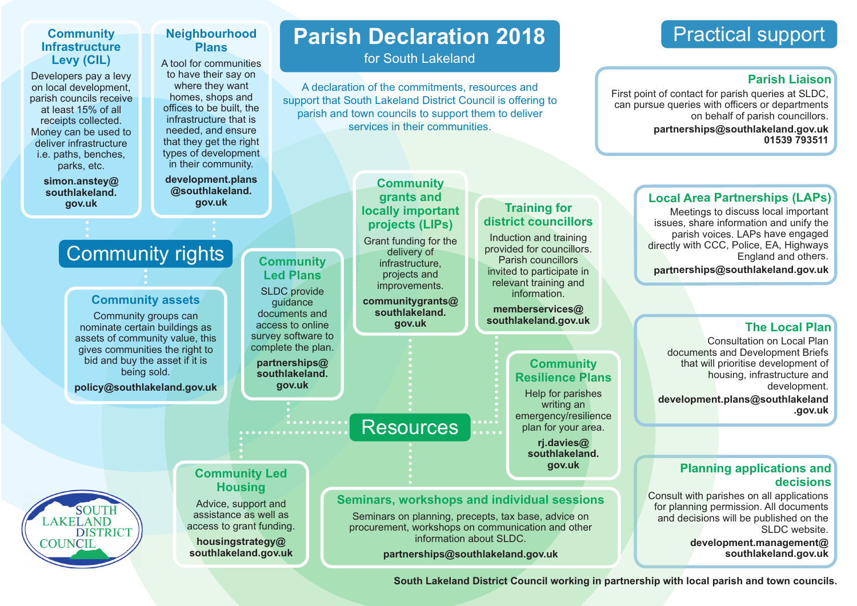# **Community Infrastructure Levy (CIL)**

Developers pay a levy on local development, parish councils receive at least 15% of all receipts collected. Money can be used to deliver infrastructure i.e. paths, benches, parks, etc.

## **Neighbourhood Plans**

A tool for communities to have their say on where they want homes, shops and offices to be built, the infrastructure that is needed, and ensure that they get the right types of development in their community.

**development.plans @southlakeland.**

# **Parish Declaration 2018**

for South Lakeland

A declaration of the commitments, resources and support that South Lakeland District Council is offering to parish and town councils to support them to deliver services in their communities.

# Practical support

# **Parish Liaison**

First point of contact for parish queries at SLDC, can pursue queries with officers or departments on behalf of parish councillors. **partnerships@southlakeland.gov.uk 01539 793511**